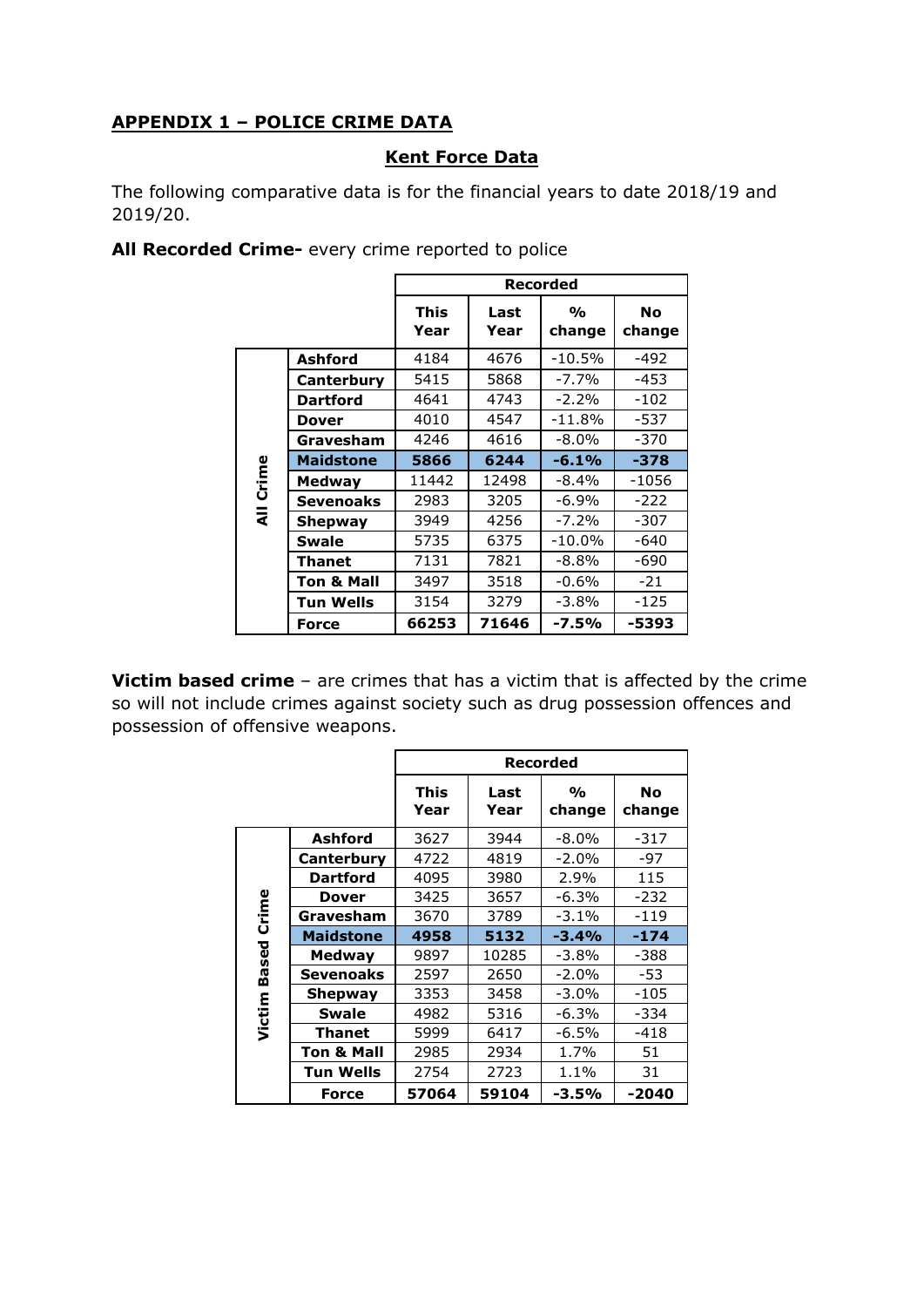## **APPENDIX 1 – POLICE CRIME DATA**

## **Kent Force Data**

The following comparative data is for the financial years to date 2018/19 and 2019/20.

**All Recorded Crime-** every crime reported to police

|           |                       |                     |              | <b>Recorded</b>              |              |
|-----------|-----------------------|---------------------|--------------|------------------------------|--------------|
|           |                       | <b>This</b><br>Year | Last<br>Year | $\frac{0}{\alpha}$<br>change | No<br>change |
|           | <b>Ashford</b>        | 4184                | 4676         | $-10.5%$                     | $-492$       |
|           | Canterbury            | 5415                | 5868         | $-7.7%$                      | $-453$       |
|           | <b>Dartford</b>       | 4641                | 4743         | $-2.2%$                      | $-102$       |
|           | Dover                 | 4010                | 4547         | $-11.8%$                     | -537         |
|           | Gravesham             | 4246                | 4616         | $-8.0\%$                     | -370         |
|           | <b>Maidstone</b>      | 5866                | 6244         | $-6.1%$                      | $-378$       |
| Crime     | <b>Medway</b>         | 11442               | 12498        | -8.4%                        | $-1056$      |
|           | Sevenoaks             | 2983                | 3205         | -6.9%                        | -222         |
| $\bar{a}$ | Shepway               | 3949                | 4256         | $-7.2%$                      | -307         |
|           | Swale                 | 5735                | 6375         | $-10.0\%$                    | $-640$       |
|           | <b>Thanet</b>         | 7131                | 7821         | $-8.8\%$                     | -690         |
|           | <b>Ton &amp; Mall</b> | 3497                | 3518         | $-0.6%$                      | $-21$        |
|           | <b>Tun Wells</b>      | 3154                | 3279         | $-3.8%$                      | $-125$       |
|           | Force                 | 66253               | 71646        | $-7.5%$                      | -5393        |

**Victim based crime** – are crimes that has a victim that is affected by the crime so will not include crimes against society such as drug possession offences and possession of offensive weapons.

|        |                       |                     | Recorded     |                              |                     |  |  |
|--------|-----------------------|---------------------|--------------|------------------------------|---------------------|--|--|
|        |                       | <b>This</b><br>Year | Last<br>Year | $\frac{1}{\alpha}$<br>change | <b>No</b><br>change |  |  |
|        | Ashford               | 3627                | 3944         | $-8.0\%$                     | $-317$              |  |  |
|        | Canterbury            | 4722                | 4819         | $-2.0%$                      | -97                 |  |  |
|        | <b>Dartford</b>       | 4095                | 3980         | 2.9%                         | 115                 |  |  |
|        | <b>Dover</b>          | 3425                | 3657         | -6.3%                        | -232                |  |  |
| Crime  | Gravesham             | 3670                | 3789         | $-3.1%$                      | $-119$              |  |  |
|        | <b>Maidstone</b>      | 4958                | 5132         | $-3.4%$                      | $-174$              |  |  |
| Based  | <b>Medway</b>         | 9897                | 10285        | $-3.8\%$                     | -388                |  |  |
|        | <b>Sevenoaks</b>      | 2597                | 2650         | $-2.0\%$                     | -53                 |  |  |
|        | <b>Shepway</b>        | 3353                | 3458         | $-3.0%$                      | $-105$              |  |  |
| Victim | <b>Swale</b>          | 4982                | 5316         | $-6.3%$                      | -334                |  |  |
|        | <b>Thanet</b>         | 5999                | 6417         | $-6.5%$                      | $-418$              |  |  |
|        | <b>Ton &amp; Mall</b> | 2985                | 2934         | 1.7%                         | 51                  |  |  |
|        | <b>Tun Wells</b>      | 2754                | 2723         | 1.1%                         | 31                  |  |  |
|        | <b>Force</b>          | 57064               | 59104        | $-3.5%$                      | -2040               |  |  |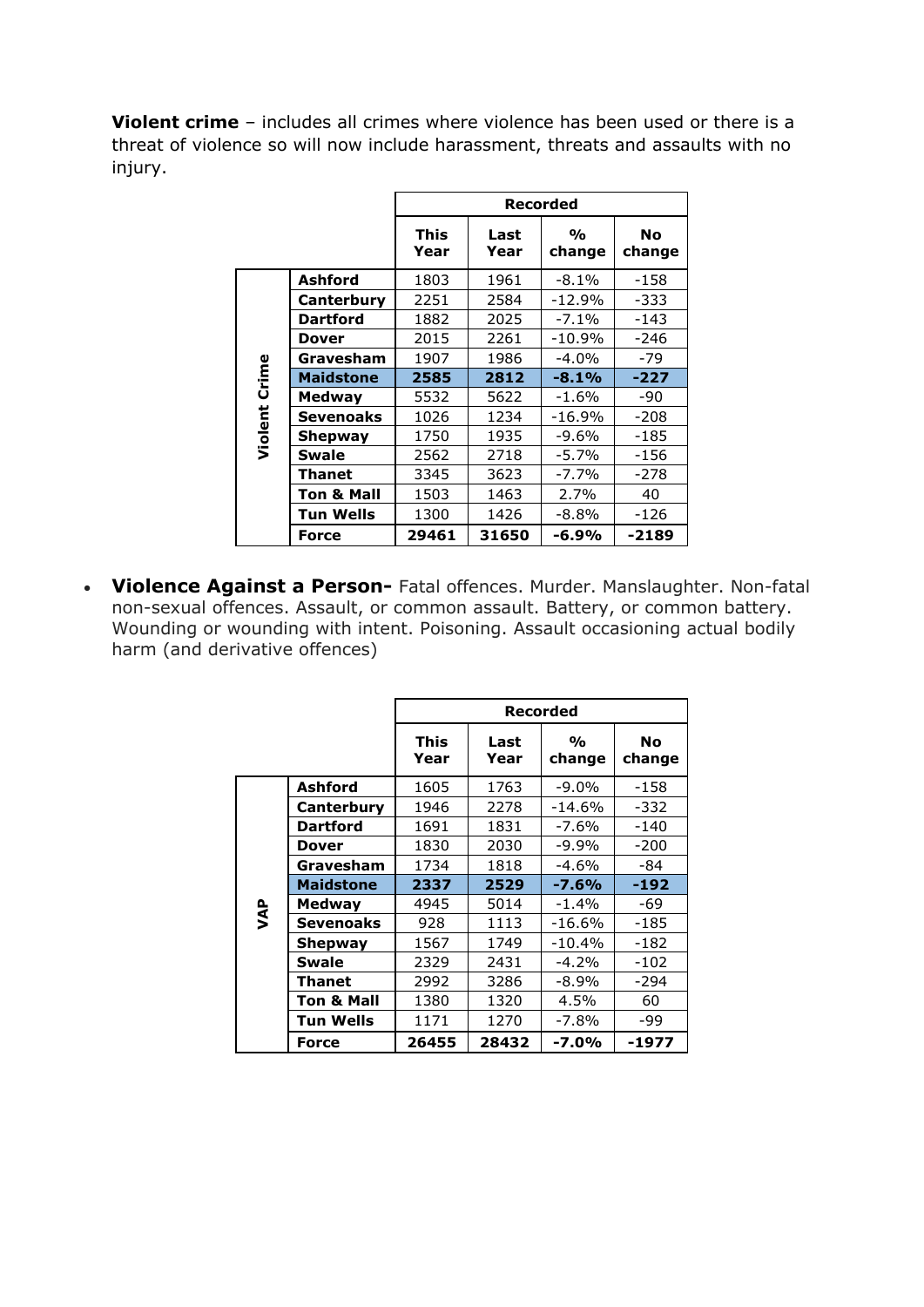**Violent crime** – includes all crimes where violence has been used or there is a threat of violence so will now include harassment, threats and assaults with no injury.

|         |                  |                     |              | Recorded                     |                     |
|---------|------------------|---------------------|--------------|------------------------------|---------------------|
|         |                  | <b>This</b><br>Year | Last<br>Year | $\frac{0}{\alpha}$<br>change | <b>No</b><br>change |
|         | Ashford          | 1803                | 1961         | $-8.1\%$                     | -158                |
|         | Canterbury       | 2251                | 2584         | $-12.9%$                     | -333                |
|         | <b>Dartford</b>  | 1882                | 2025         | $-7.1\%$                     | $-143$              |
|         | <b>Dover</b>     | 2015                | 2261         | $-10.9%$                     | -246                |
|         | Gravesham        | 1907                | 1986         | $-4.0%$                      | $-79$               |
| Crime   | <b>Maidstone</b> | 2585                | 2812         | $-8.1%$                      | $-227$              |
|         | Medway           | 5532                | 5622         | $-1.6\%$                     | -90                 |
|         | Sevenoaks        | 1026                | 1234         | -16.9%                       | $-208$              |
| Violent | Shepway          | 1750                | 1935         | -9.6%                        | -185                |
|         | Swale            | 2562                | 2718         | $-5.7%$                      | -156                |
|         | Thanet           | 3345                | 3623         | $-7.7\%$                     | -278                |
|         | Ton & Mall       | 1503                | 1463         | 2.7%                         | 40                  |
|         | Tun Wells        | 1300                | 1426         | $-8.8%$                      | -126                |
|         | Force            | 29461               | 31650        | -6.9%                        | $-2189$             |

 **Violence Against a Person-** Fatal offences. Murder. Manslaughter. Non-fatal non-sexual offences. Assault, or common assault. Battery, or common battery. Wounding or wounding with intent. Poisoning. Assault occasioning actual bodily harm (and derivative offences)

|           |                       |                     | Recorded     |                              |                     |  |  |
|-----------|-----------------------|---------------------|--------------|------------------------------|---------------------|--|--|
|           |                       | <b>This</b><br>Year | Last<br>Year | $\frac{0}{\alpha}$<br>change | <b>No</b><br>change |  |  |
|           | <b>Ashford</b>        | 1605                | 1763         | -9.0%                        | -158                |  |  |
|           | Canterbury            | 1946                | 2278         | $-14.6%$                     | -332                |  |  |
|           | Dartford              | 1691                | 1831         | -7.6%                        | -140                |  |  |
|           | Dover                 | 1830                | 2030         | $-9.9\%$                     | $-200$              |  |  |
|           | Gravesham             | 1734                | 1818         | $-4.6\%$                     | -84                 |  |  |
|           | <b>Maidstone</b>      | 2337                | 2529         | $-7.6%$                      | $-192$              |  |  |
| <b>AP</b> | <b>Medway</b>         | 4945                | 5014         | $-1.4%$                      | -69                 |  |  |
|           | Sevenoaks             | 928                 | 1113         | $-16.6%$                     | $-185$              |  |  |
|           | Shepway               | 1567                | 1749         | $-10.4%$                     | -182                |  |  |
|           | <b>Swale</b>          | 2329                | 2431         | $-4.2%$                      | $-102$              |  |  |
|           | Thanet                | 2992                | 3286         | $-8.9\%$                     | $-294$              |  |  |
|           | <b>Ton &amp; Mall</b> | 1380                | 1320         | 4.5%                         | 60                  |  |  |
|           | Tun Wells             | 1171                | 1270         | -7.8%                        | -99                 |  |  |
|           | Force                 | 26455               | 28432        | $-7.0%$                      | -1977               |  |  |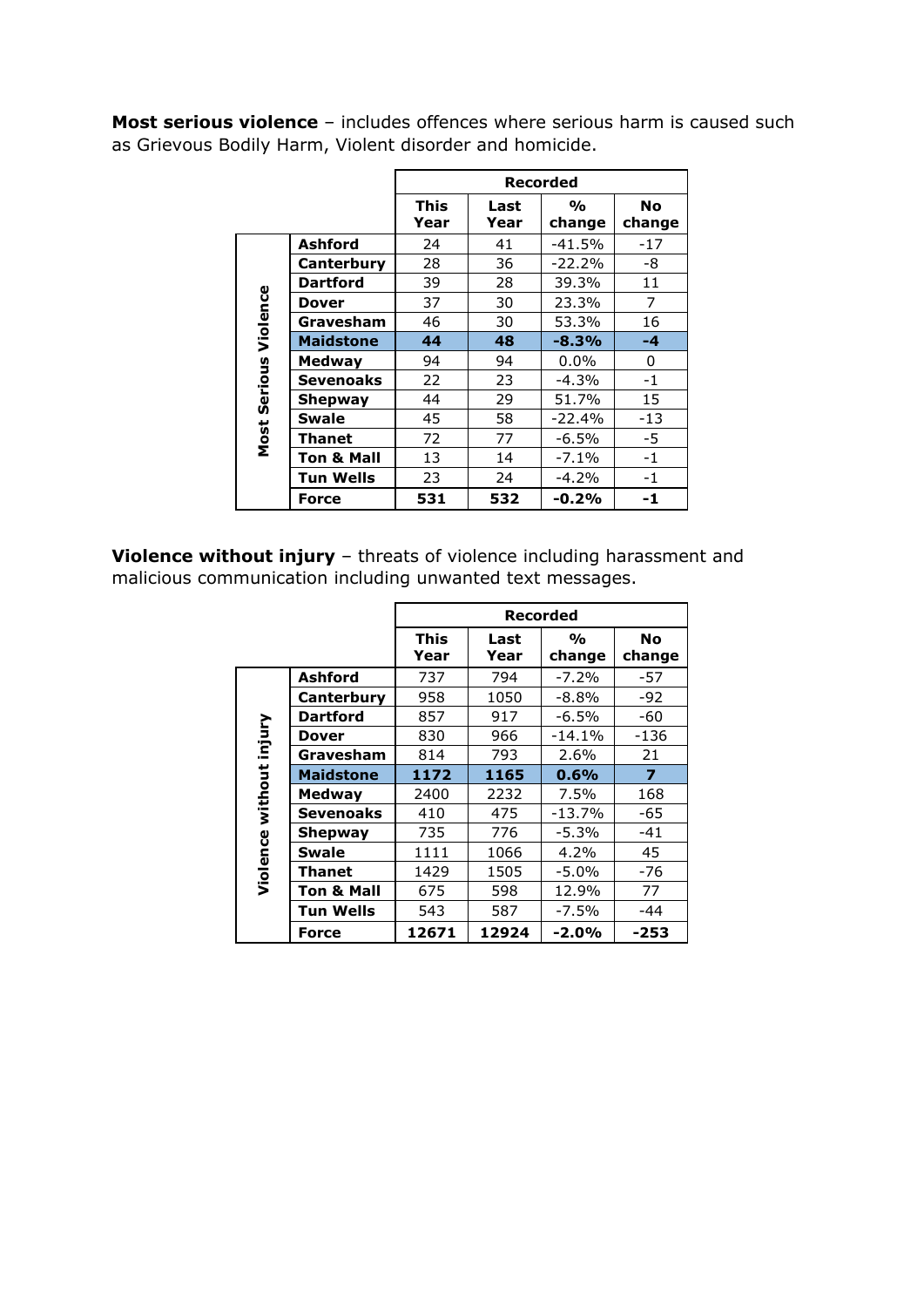**Most serious violence** – includes offences where serious harm is caused such as Grievous Bodily Harm, Violent disorder and homicide.

|          |                  |                     |              | Recorded                     |                     |
|----------|------------------|---------------------|--------------|------------------------------|---------------------|
|          |                  | <b>This</b><br>Year | Last<br>Year | $\frac{1}{\alpha}$<br>change | <b>No</b><br>change |
|          | Ashford          | 24                  | 41           | $-41.5%$                     | $-17$               |
|          | Canterbury       | 28                  | 36           | $-22.2%$                     | -8                  |
|          | <b>Dartford</b>  | 39                  | 28           | 39.3%                        | 11                  |
|          | Dover            | 37                  | 30           | 23.3%                        | 7                   |
|          | Gravesham        | 46                  | 30           | 53.3%                        | 16                  |
| Violence | <b>Maidstone</b> | 44                  | 48           | $-8.3%$                      | -4                  |
|          | <b>Medway</b>    | 94                  | 94           | $0.0\%$                      | 0                   |
| Serious  | <b>Sevenoaks</b> | 22                  | 23           | $-4.3%$                      | $-1$                |
|          | Shepway          | 44                  | 29           | 51.7%                        | 15                  |
|          | <b>Swale</b>     | 45                  | 58           | $-22.4%$                     | $-13$               |
| Most     | Thanet           | 72                  | 77           | $-6.5\%$                     | -5                  |
|          | Ton & Mall       | 13                  | 14           | $-7.1%$                      | $-1$                |
|          | Tun Wells        | 23                  | 24           | $-4.2%$                      | $-1$                |
|          | <b>Force</b>     | 531                 | 532          | $-0.2%$                      | -1                  |

**Violence without injury** – threats of violence including harassment and malicious communication including unwanted text messages.

|                  |                  |                     |              | <b>Recorded</b>              |                     |
|------------------|------------------|---------------------|--------------|------------------------------|---------------------|
|                  |                  | <b>This</b><br>Year | Last<br>Year | $\frac{1}{\alpha}$<br>change | <b>No</b><br>change |
|                  | <b>Ashford</b>   | 737                 | 794          | $-7.2%$                      | -57                 |
|                  | Canterbury       | 958                 | 1050         | $-8.8%$                      | $-92$               |
|                  | <b>Dartford</b>  | 857                 | 917          | $-6.5\%$                     | -60                 |
| injury           | <b>Dover</b>     | 830                 | 966          | $-14.1%$                     | -136                |
|                  | Gravesham        | 814                 | 793          | $2.6\%$                      | 21                  |
| Violence without | <b>Maidstone</b> | 1172                | 1165         | 0.6%                         | $\overline{7}$      |
|                  | <b>Medway</b>    | 2400                | 2232         | 7.5%                         | 168                 |
|                  | <b>Sevenoaks</b> | 410                 | 475          | $-13.7%$                     | -65                 |
|                  | <b>Shepway</b>   | 735                 | 776          | $-5.3%$                      | $-41$               |
|                  | <b>Swale</b>     | 1111                | 1066         | 4.2%                         | 45                  |
|                  | Thanet           | 1429                | 1505         | -5.0%                        | -76                 |
|                  | Ton & Mall       | 675                 | 598          | 12.9%                        | 77                  |
|                  | Tun Wells        | 543                 | 587          | $-7.5%$                      | -44                 |
|                  | Force            | 12671               | 12924        | $-2.0%$                      | $-253$              |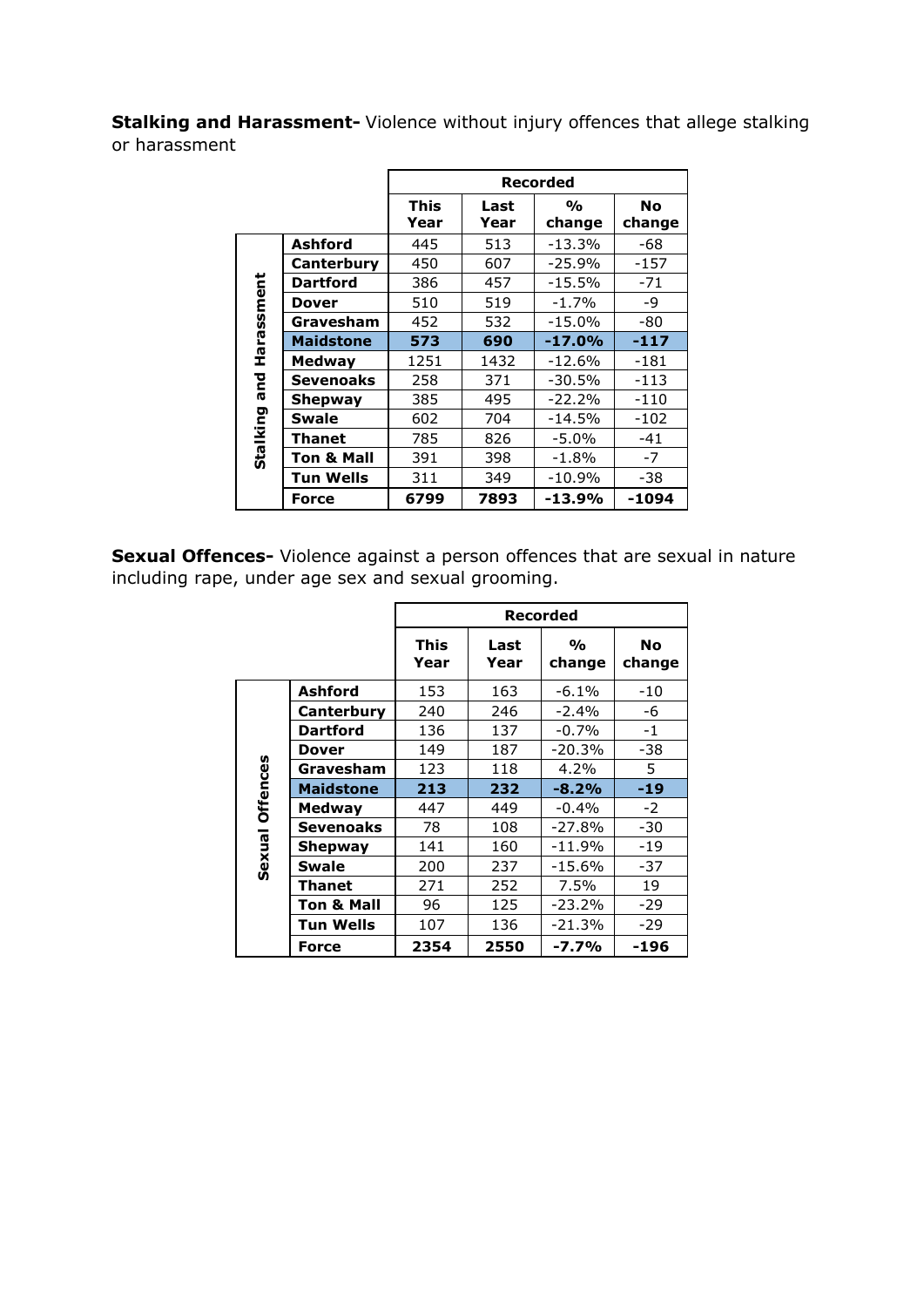**Stalking and Harassment-** Violence without injury offences that allege stalking or harassment

|            |                       |                     |              | Recorded                |                     |
|------------|-----------------------|---------------------|--------------|-------------------------|---------------------|
|            |                       | <b>This</b><br>Year | Last<br>Year | $\frac{1}{2}$<br>change | <b>No</b><br>change |
|            | <b>Ashford</b>        | 445                 | 513          | $-13.3%$                | -68                 |
|            | Canterbury            | 450                 | 607          | $-25.9%$                | -157                |
| Harassment | <b>Dartford</b>       | 386                 | 457          | $-15.5%$                | $-71$               |
|            | <b>Dover</b>          | 510                 | 519          | $-1.7%$                 | -9                  |
|            | Gravesham             | 452                 | 532          | $-15.0%$                | -80                 |
|            | <b>Maidstone</b>      | 573                 | 690          | $-17.0%$                | $-117$              |
|            | <b>Medway</b>         | 1251                | 1432         | $-12.6%$                | $-181$              |
| and        | <b>Sevenoaks</b>      | 258                 | 371          | $-30.5%$                | $-113$              |
|            | <b>Shepway</b>        | 385                 | 495          | $-22.2%$                | $-110$              |
|            | <b>Swale</b>          | 602                 | 704          | $-14.5%$                | -102                |
|            | Thanet                | 785                 | 826          | -5.0%                   | -41                 |
| Stalking   | <b>Ton &amp; Mall</b> | 391                 | 398          | $-1.8%$                 | -7                  |
|            | Tun Wells             | 311                 | 349          | $-10.9%$                | -38                 |
|            | <b>Force</b>          | 6799                | 7893         | $-13.9%$                | -1094               |

**Sexual Offences-** Violence against a person offences that are sexual in nature including rape, under age sex and sexual grooming.

|                 |                       |                     | <b>Recorded</b> |                         |                     |  |
|-----------------|-----------------------|---------------------|-----------------|-------------------------|---------------------|--|
|                 |                       | <b>This</b><br>Year | Last<br>Year    | $\frac{1}{2}$<br>change | <b>No</b><br>change |  |
|                 | Ashford               | 153                 | 163             | $-6.1\%$                | -10                 |  |
|                 | Canterbury            | 240                 | 246             | $-2.4%$                 | -6                  |  |
|                 | <b>Dartford</b>       | 136                 | 137             | $-0.7\%$                | $-1$                |  |
|                 | <b>Dover</b>          | 149                 | 187             | $-20.3%$                | -38                 |  |
|                 | Gravesham             | 123                 | 118             | 4.2%                    | 5                   |  |
| Sexual Offences | <b>Maidstone</b>      | 213                 | 232             | $-8.2%$                 | $-19$               |  |
|                 | <b>Medway</b>         | 447                 | 449             | $-0.4%$                 | $-2$                |  |
|                 | <b>Sevenoaks</b>      | 78                  | 108             | $-27.8%$                | $-30$               |  |
|                 | Shepway               | 141                 | 160             | $-11.9%$                | $-19$               |  |
|                 | <b>Swale</b>          | 200                 | 237             | $-15.6%$                | $-37$               |  |
|                 | Thanet                | 271                 | 252             | 7.5%                    | 19                  |  |
|                 | <b>Ton &amp; Mall</b> | 96                  | 125             | $-23.2%$                | $-29$               |  |
|                 | <b>Tun Wells</b>      | 107                 | 136             | $-21.3%$                | $-29$               |  |
|                 | Force                 | 2354                | 2550            | $-7.7%$                 | -196                |  |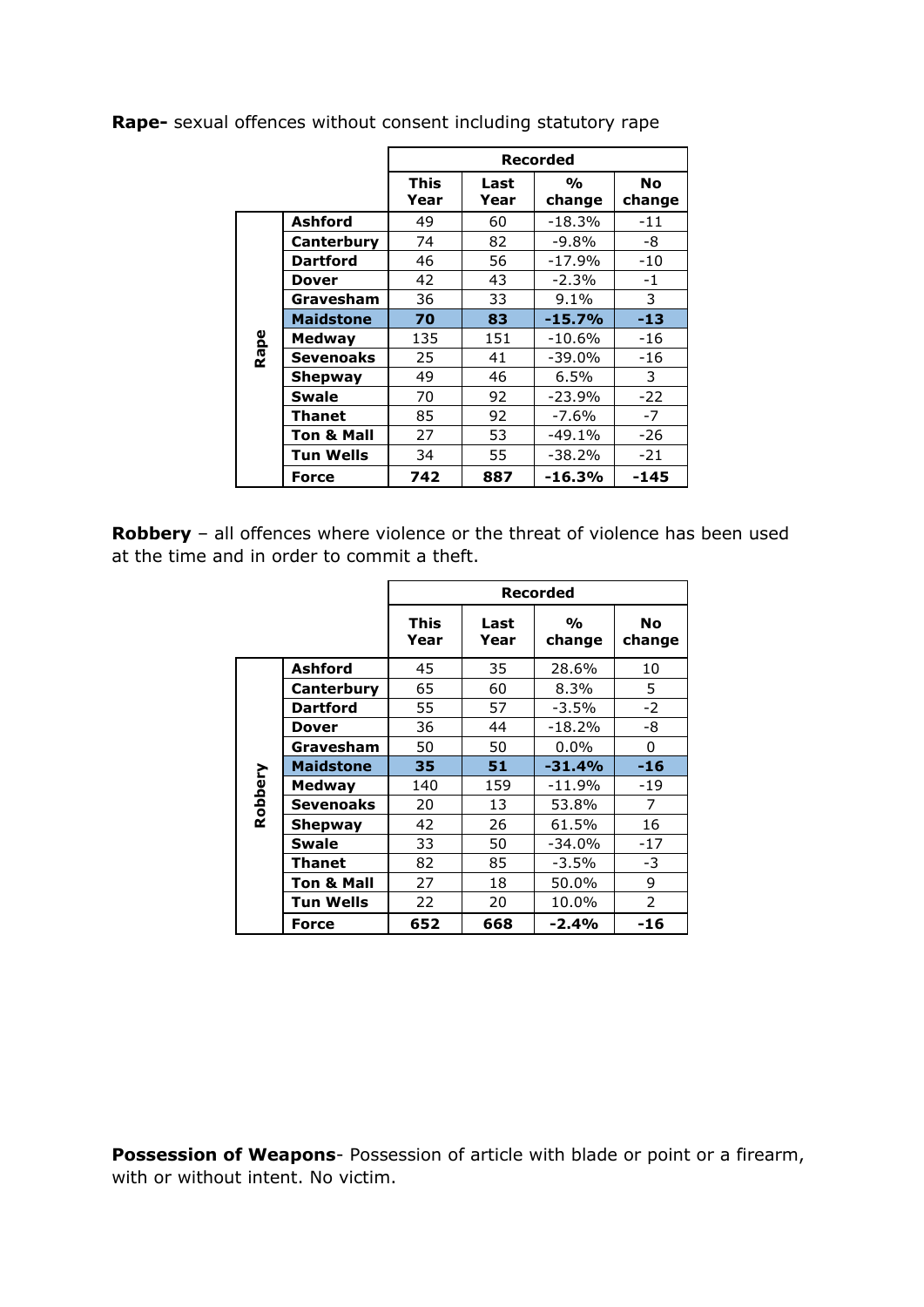|      |                  |                     |              | <b>Recorded</b>         |                     |
|------|------------------|---------------------|--------------|-------------------------|---------------------|
|      |                  | <b>This</b><br>Year | Last<br>Year | $\frac{1}{2}$<br>change | <b>No</b><br>change |
|      | <b>Ashford</b>   | 49                  | 60           | -18.3%                  | -11                 |
|      | Canterbury       | 74                  | 82           | $-9.8%$                 | -8                  |
|      | <b>Dartford</b>  | 46                  | 56           | $-17.9%$                | -10                 |
|      | Dover            | 42                  | 43           | $-2.3%$                 | -1                  |
|      | Gravesham        | 36                  | 33           | 9.1%                    | 3                   |
|      | <b>Maidstone</b> | 70                  | 83           | $-15.7%$                | $-13$               |
| Rape | Medway           | 135                 | 151          | -10.6%                  | -16                 |
|      | <b>Sevenoaks</b> | 25                  | 41           | $-39.0\%$               | -16                 |
|      | Shepway          | 49                  | 46           | 6.5%                    | 3                   |
|      | <b>Swale</b>     | 70                  | 92           | $-23.9%$                | $-22$               |
|      | <b>Thanet</b>    | 85                  | 92           | $-7.6%$                 | $-7$                |
|      | Ton & Mall       | 27                  | 53           | -49.1%                  | -26                 |
|      | <b>Tun Wells</b> | 34                  | 55           | $-38.2%$                | $-21$               |
|      | <b>Force</b>     | 742                 | 887          | $-16.3%$                | -145                |

**Rape-** sexual offences without consent including statutory rape

**Robbery** – all offences where violence or the threat of violence has been used at the time and in order to commit a theft.

|         |                       |                     | <b>Recorded</b> |                              |                     |  |  |
|---------|-----------------------|---------------------|-----------------|------------------------------|---------------------|--|--|
|         |                       | <b>This</b><br>Year | Last<br>Year    | $\frac{0}{\alpha}$<br>change | <b>No</b><br>change |  |  |
|         | Ashford               | 45                  | 35              | 28.6%                        | 10                  |  |  |
|         | Canterbury            | 65                  | 60              | 8.3%                         | 5.                  |  |  |
|         | <b>Dartford</b>       | 55                  | 57              | -3.5%                        | $-2$                |  |  |
|         | <b>Dover</b>          | 36                  | 44              | $-18.2%$                     | -8                  |  |  |
|         | Gravesham             | 50                  | 50              | $0.0\%$                      | 0                   |  |  |
|         | <b>Maidstone</b>      | 35                  | 51              | $-31.4%$                     | $-16$               |  |  |
| Robbery | <b>Medway</b>         | 140                 | 159             | $-11.9%$                     | $-19$               |  |  |
|         | <b>Sevenoaks</b>      | 20                  | 13              | 53.8%                        | 7                   |  |  |
|         | Shepway               | 42                  | 26              | 61.5%                        | 16                  |  |  |
|         | <b>Swale</b>          | 33                  | 50              | $-34.0%$                     | $-17$               |  |  |
|         | Thanet                | 82                  | 85              | $-3.5%$                      | -3                  |  |  |
|         | <b>Ton &amp; Mall</b> | 27                  | 18              | 50.0%                        | 9                   |  |  |
|         | Tun Wells             | 22                  | 20              | 10.0%                        | 2                   |  |  |
|         | <b>Force</b>          | 652                 | 668             | $-2.4%$                      | -16                 |  |  |

**Possession of Weapons**- Possession of article with blade or point or a firearm, with or without intent. No victim.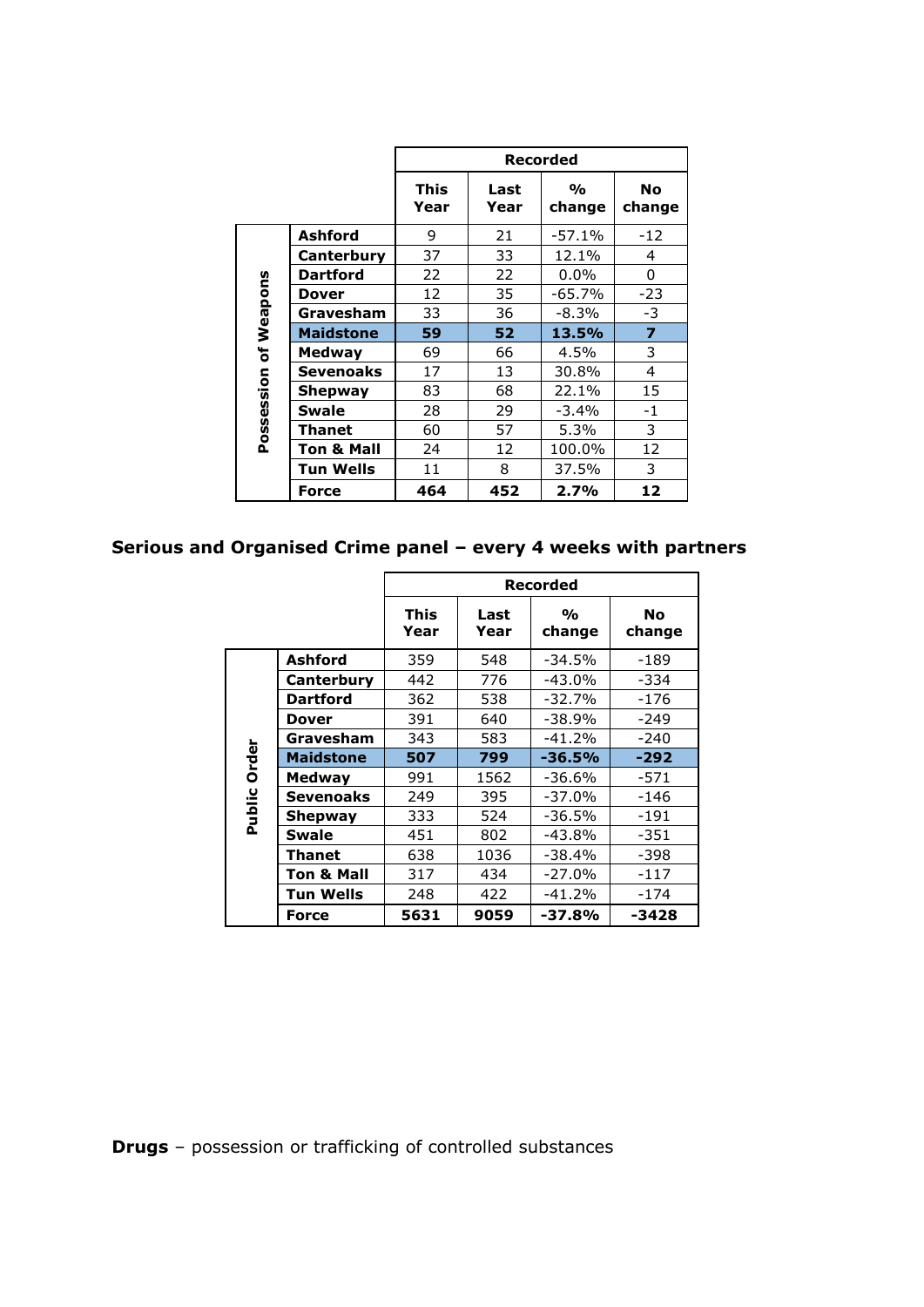|              |                       |                     |              | Recorded                |                     |
|--------------|-----------------------|---------------------|--------------|-------------------------|---------------------|
|              |                       | <b>This</b><br>Year | Last<br>Year | $\frac{1}{2}$<br>change | <b>No</b><br>change |
|              | Ashford               | 9                   | 21           | $-57.1%$                | $-12$               |
|              | Canterbury            | 37                  | 33           | 12.1%                   | 4                   |
|              | <b>Dartford</b>       | 22                  | 22           | $0.0\%$                 | 0                   |
| Weapons      | <b>Dover</b>          | 12                  | 35           | $-65.7%$                | $-23$               |
|              | Gravesham             | 33                  | 36           | $-8.3%$                 | -3                  |
|              | <b>Maidstone</b>      | 59                  | 52           | 13.5%                   | $\overline{z}$      |
| $\mathbf{b}$ | <b>Medway</b>         | 69                  | 66           | 4.5%                    | 3                   |
|              | <b>Sevenoaks</b>      | 17                  | 13           | 30.8%                   | 4                   |
| Possession   | Shepway               | 83                  | 68           | 22.1%                   | 15                  |
|              | <b>Swale</b>          | 28                  | 29           | $-3.4%$                 | $-1$                |
|              | Thanet                | 60                  | 57           | 5.3%                    | 3                   |
|              | <b>Ton &amp; Mall</b> | 24                  | 12           | 100.0%                  | 12                  |
|              | Tun Wells             | 11                  | 8            | 37.5%                   | 3                   |
|              | Force                 | 464                 | 452          | 2.7%                    | 12                  |

## **Serious and Organised Crime panel – every 4 weeks with partners**

|        |                       |                     | Recorded     |                         |                     |  |  |
|--------|-----------------------|---------------------|--------------|-------------------------|---------------------|--|--|
|        |                       | <b>This</b><br>Year | Last<br>Year | $\frac{1}{2}$<br>change | <b>No</b><br>change |  |  |
|        | Ashford               | 359                 | 548          | $-34.5%$                | -189                |  |  |
|        | Canterbury            | 442                 | 776          | $-43.0%$                | -334                |  |  |
|        | <b>Dartford</b>       | 362                 | 538          | $-32.7%$                | $-176$              |  |  |
|        | Dover                 | 391                 | 640          | $-38.9%$                | $-249$              |  |  |
|        | Gravesham             | 343                 | 583          | $-41.2%$                | $-240$              |  |  |
| Order  | <b>Maidstone</b>      | 507                 | 799          | $-36.5%$                | $-292$              |  |  |
|        | <b>Medway</b>         | 991                 | 1562         | $-36.6%$                | $-571$              |  |  |
|        | Sevenoaks             | 249                 | 395          | $-37.0%$                | $-146$              |  |  |
| Public | Shepway               | 333                 | 524          | $-36.5%$                | -191                |  |  |
|        | <b>Swale</b>          | 451                 | 802          | $-43.8%$                | -351                |  |  |
|        | Thanet                | 638                 | 1036         | $-38.4%$                | -398                |  |  |
|        | <b>Ton &amp; Mall</b> | 317                 | 434          | $-27.0%$                | -117                |  |  |
|        | Tun Wells             | 248                 | 422          | $-41.2%$                | $-174$              |  |  |
|        | <b>Force</b>          | 5631                | 9059         | $-37.8%$                | -3428               |  |  |

**Drugs** – possession or trafficking of controlled substances